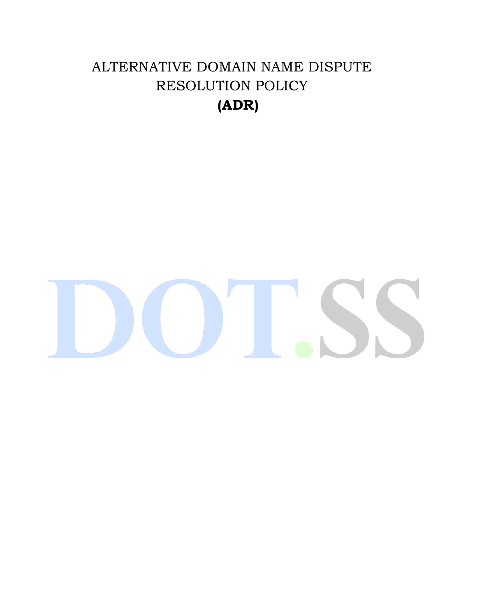# ALTERNATIVE DOMAIN NAME DISPUTE RESOLUTION POLICY **(ADR)**

# $\mathcal{L}$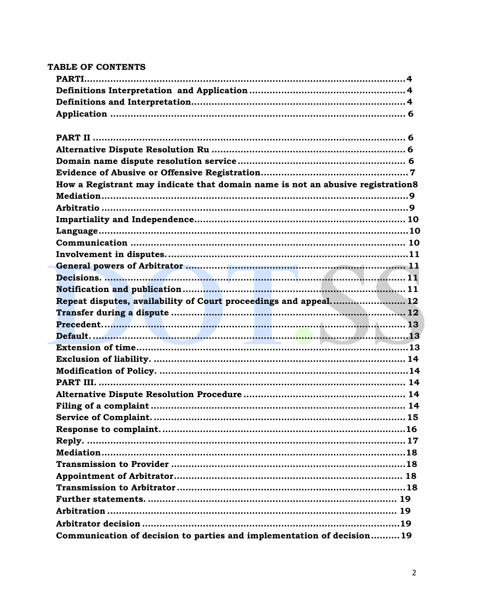| TABLE OF CONTENTS                                                              |  |
|--------------------------------------------------------------------------------|--|
|                                                                                |  |
|                                                                                |  |
|                                                                                |  |
|                                                                                |  |
|                                                                                |  |
|                                                                                |  |
|                                                                                |  |
|                                                                                |  |
| How a Registrant may indicate that domain name is not an abusive registration8 |  |
|                                                                                |  |
|                                                                                |  |
|                                                                                |  |
|                                                                                |  |
|                                                                                |  |
|                                                                                |  |
|                                                                                |  |
|                                                                                |  |
|                                                                                |  |
| Repeat disputes, availability of Court proceedings and appeal 12               |  |
|                                                                                |  |
|                                                                                |  |
|                                                                                |  |
|                                                                                |  |
|                                                                                |  |
|                                                                                |  |
|                                                                                |  |
|                                                                                |  |
|                                                                                |  |
|                                                                                |  |
|                                                                                |  |
|                                                                                |  |
|                                                                                |  |
|                                                                                |  |
|                                                                                |  |
|                                                                                |  |
|                                                                                |  |
|                                                                                |  |
|                                                                                |  |
|                                                                                |  |
| Communication of decision to parties and implementation of decision19          |  |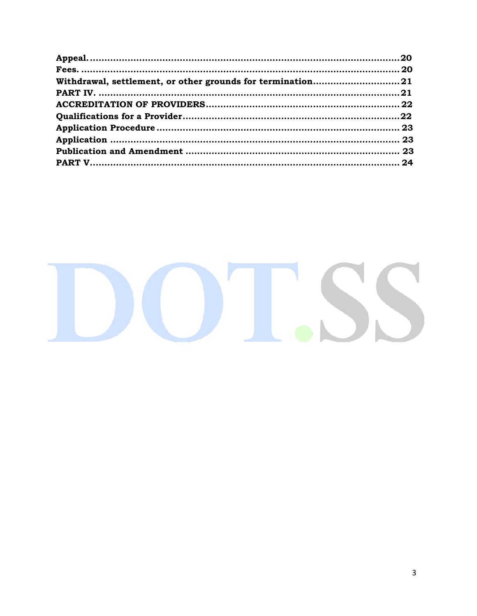| Withdrawal, settlement, or other grounds for termination21 |
|------------------------------------------------------------|
|                                                            |
|                                                            |
|                                                            |
|                                                            |
|                                                            |
|                                                            |
|                                                            |
|                                                            |
|                                                            |

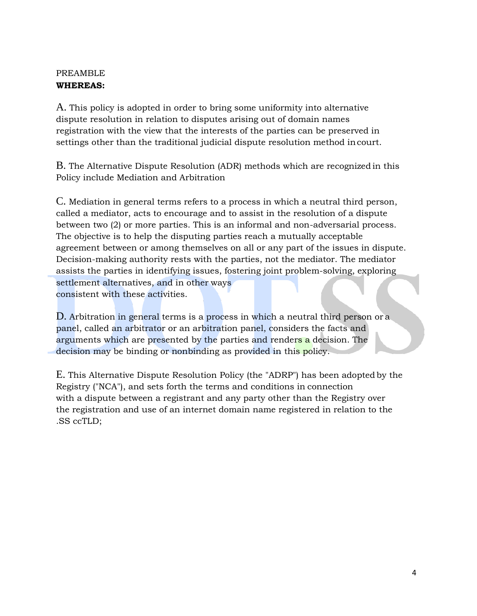#### PREAMBLE **WHEREAS:**

A. This policy is adopted in order to bring some uniformity into alternative dispute resolution in relation to disputes arising out of domain names registration with the view that the interests of the parties can be preserved in settings other than the traditional judicial dispute resolution method incourt.

B. The Alternative Dispute Resolution (ADR) methods which are recognized in this Policy include Mediation and Arbitration

C. Mediation in general terms refers to a process in which a neutral third person, called a mediator, acts to encourage and to assist in the resolution of a dispute between two (2) or more parties. This is an informal and non-adversarial process. The objective is to help the disputing parties reach a mutually acceptable agreement between or among themselves on all or any part of the issues in dispute. Decision-making authority rests with the parties, not the mediator. The mediator assists the parties in identifying issues, fostering joint problem-solving, exploring settlement alternatives, and in other ways consistent with these activities.

D. Arbitration in general terms is a process in which a neutral third person or a panel, called an arbitrator or an arbitration panel, considers the facts and arguments which are presented by the parties and renders a decision. The decision may be binding or nonbinding as provided in this policy.

E. This Alternative Dispute Resolution Policy (the "ADRP") has been adopted by the Registry ("NCA"), and sets forth the terms and conditions in connection with a dispute between a registrant and any party other than the Registry over the registration and use of an internet domain name registered in relation to the .SS ccTLD;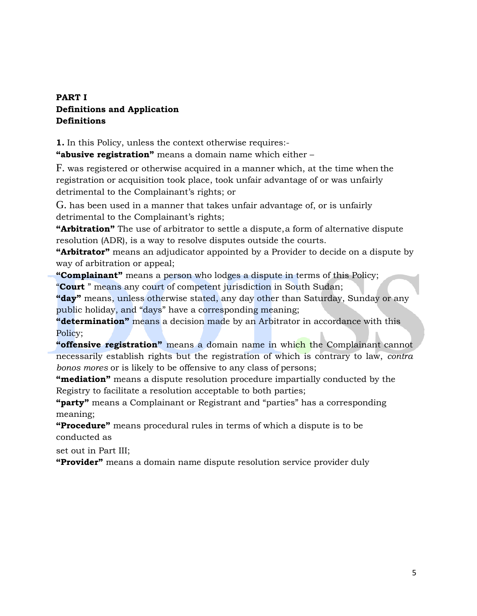# <span id="page-4-0"></span>**PART I Definitions and Application Definitions**

**1.** In this Policy, unless the context otherwise requires:-

**"abusive registration"** means a domain name which either –

F. was registered or otherwise acquired in a manner which, at the time when the registration or acquisition took place, took unfair advantage of or was unfairly detrimental to the Complainant's rights; or

G. has been used in a manner that takes unfair advantage of, or is unfairly detrimental to the Complainant's rights;

**"Arbitration"** The use of arbitrator to settle a dispute,a form of alternative dispute resolution (ADR), is a way to resolve disputes outside the courts.

**"Arbitrator"** means an adjudicator appointed by a Provider to decide on a dispute by way of arbitration or appeal;

**"Complainant"** means a person who lodges a dispute in terms of this Policy; "**Court** " means any court of competent jurisdiction in South Sudan;

**"day"** means, unless otherwise stated, any day other than Saturday, Sunday or any public holiday, and "days" have a corresponding meaning;

**"determination"** means a decision made by an Arbitrator in accordance with this Policy;

**"offensive registration"** means a domain name in which the Complainant cannot necessarily establish rights but the registration of which is contrary to law, *contra bonos mores* or is likely to be offensive to any class of persons;

**"mediation"** means a dispute resolution procedure impartially conducted by the Registry to facilitate a resolution acceptable to both parties;

**"party"** means a Complainant or Registrant and "parties" has a corresponding meaning;

**"Procedure"** means procedural rules in terms of which a dispute is to be conducted as

set out in Part III;

**"Provider"** means a domain name dispute resolution service provider duly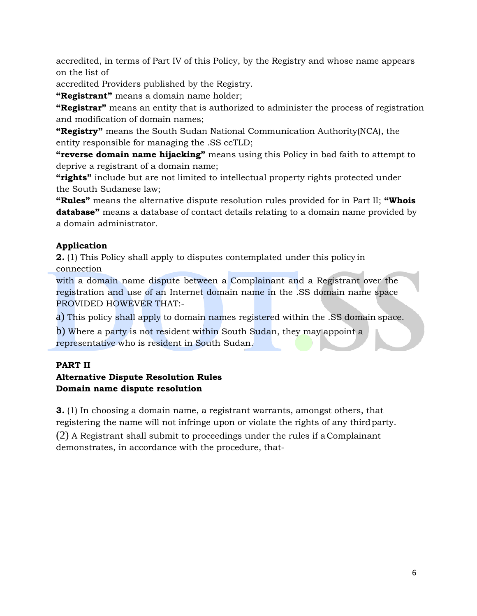accredited, in terms of Part IV of this Policy, by the Registry and whose name appears on the list of

accredited Providers published by the Registry.

**"Registrant"** means a domain name holder;

**"Registrar"** means an entity that is authorized to administer the process of registration and modification of domain names;

**"Registry"** means the South Sudan National Communication Authority(NCA), the entity responsible for managing the .SS ccTLD;

**"reverse domain name hijacking"** means using this Policy in bad faith to attempt to deprive a registrant of a domain name;

**"rights"** include but are not limited to intellectual property rights protected under the South Sudanese law;

**"Rules"** means the alternative dispute resolution rules provided for in Part II; **"Whois database"** means a database of contact details relating to a domain name provided by a domain administrator.

# <span id="page-5-0"></span>**Application**

**2.** (1) This Policy shall apply to disputes contemplated under this policy in connection

with a domain name dispute between a Complainant and a Registrant over the registration and use of an Internet domain name in the .SS domain name space PROVIDED HOWEVER THAT:-

a) This policy shall apply to domain names registered within the .SS domain space.

b) Where a party is not resident within South Sudan, they may appoint a representative who is resident in South Sudan.

# <span id="page-5-1"></span>**PART II**

#### **Alternative Dispute Resolution Rules Domain name dispute resolution**

**3.** (1) In choosing a domain name, a registrant warrants, amongst others, that registering the name will not infringe upon or violate the rights of any third party.

(2) A Registrant shall submit to proceedings under the rules if a Complainant demonstrates, in accordance with the procedure, that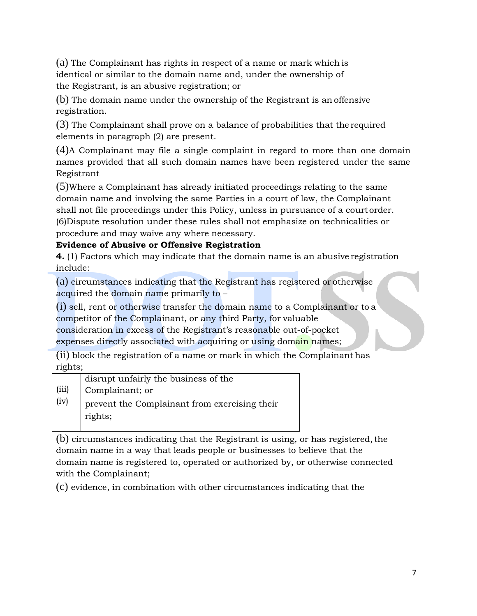(a) The Complainant has rights in respect of a name or mark which is identical or similar to the domain name and, under the ownership of the Registrant, is an abusive registration; or

(b) The domain name under the ownership of the Registrant is an offensive registration.

(3) The Complainant shall prove on a balance of probabilities that the required elements in paragraph (2) are present.

(4)A Complainant may file a single complaint in regard to more than one domain names provided that all such domain names have been registered under the same Registrant

(5)Where a Complainant has already initiated proceedings relating to the same domain name and involving the same Parties in a court of law, the Complainant shall not file proceedings under this Policy, unless in pursuance of a court order. (6)Dispute resolution under these rules shall not emphasize on technicalities or procedure and may waive any where necessary.

#### <span id="page-6-0"></span>**Evidence of Abusive or Offensive Registration**

**4.** (1) Factors which may indicate that the domain name is an abusive registration include:

(a) circumstances indicating that the Registrant has registered or otherwise acquired the domain name primarily to –

(i) sell, rent or otherwise transfer the domain name to a Complainant or to a competitor of the Complainant, or any third Party, for valuable

consideration in excess of the Registrant's reasonable out-of-pocket

expenses directly associated with acquiring or using domain names;

(ii) block the registration of a name or mark in which the Complainant has rights;

|       | disrupt unfairly the business of the                     |
|-------|----------------------------------------------------------|
| (iii) | Complainant; or                                          |
| (iv)  | prevent the Complainant from exercising their<br>rights; |

 $(b)$  circumstances indicating that the Registrant is using, or has registered, the domain name in a way that leads people or businesses to believe that the domain name is registered to, operated or authorized by, or otherwise connected with the Complainant;

(c) evidence, in combination with other circumstances indicating that the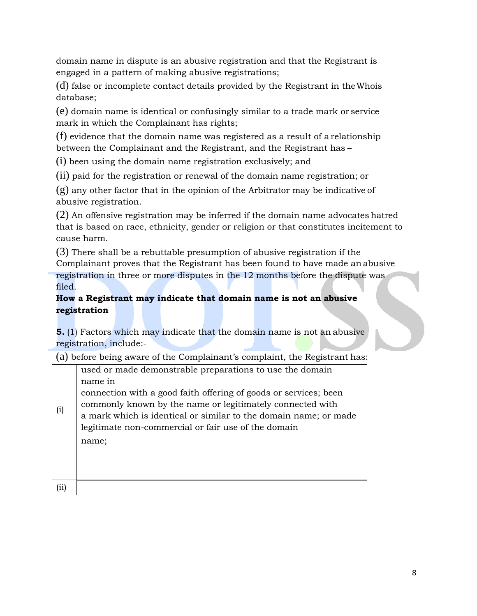domain name in dispute is an abusive registration and that the Registrant is engaged in a pattern of making abusive registrations;

(d) false or incomplete contact details provided by the Registrant in theWhois database;

(e) domain name is identical or confusingly similar to a trade mark or service mark in which the Complainant has rights;

(f) evidence that the domain name was registered as a result of a relationship between the Complainant and the Registrant, and the Registrant has –

(i) been using the domain name registration exclusively; and

(ii) paid for the registration or renewal of the domain name registration; or

(g) any other factor that in the opinion of the Arbitrator may be indicative of abusive registration.

(2) An offensive registration may be inferred if the domain name advocates hatred that is based on race, ethnicity, gender or religion or that constitutes incitement to cause harm.

(3) There shall be a rebuttable presumption of abusive registration if the Complainant proves that the Registrant has been found to have made an abusive registration in three or more disputes in the 12 months before the dispute was filed.

# <span id="page-7-0"></span>**How a Registrant may indicate that domain name is not an abusive registration**

**5.** (1) Factors which may indicate that the domain name is not an abusive registration, include:-

(a) before being aware of the Complainant's complaint, the Registrant has:

|     | used or made demonstrable preparations to use the domain         |
|-----|------------------------------------------------------------------|
|     | name in                                                          |
| (i) | connection with a good faith offering of goods or services; been |
|     | commonly known by the name or legitimately connected with        |
|     | a mark which is identical or similar to the domain name; or made |
|     | legitimate non-commercial or fair use of the domain              |
|     | name;                                                            |
|     |                                                                  |
|     |                                                                  |
|     |                                                                  |
|     |                                                                  |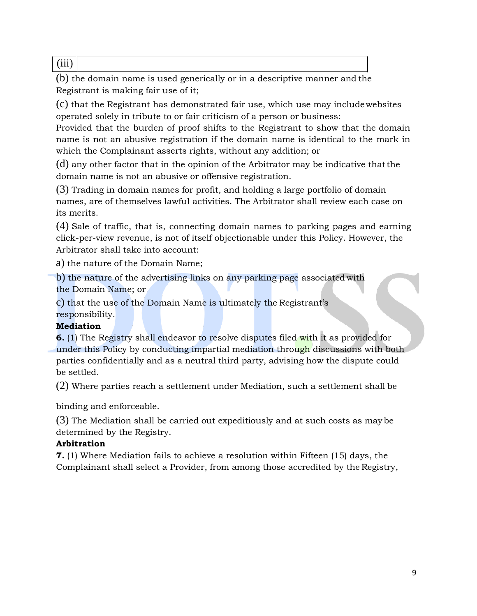(iii)

(b) the domain name is used generically or in a descriptive manner and the Registrant is making fair use of it;

(c) that the Registrant has demonstrated fair use, which use may includewebsites operated solely in tribute to or fair criticism of a person or business:

Provided that the burden of proof shifts to the Registrant to show that the domain name is not an abusive registration if the domain name is identical to the mark in which the Complainant asserts rights, without any addition; or

(d) any other factor that in the opinion of the Arbitrator may be indicative thatthe domain name is not an abusive or offensive registration.

(3) Trading in domain names for profit, and holding a large portfolio of domain names, are of themselves lawful activities. The Arbitrator shall review each case on its merits.

(4) Sale of traffic, that is, connecting domain names to parking pages and earning click-per-view revenue, is not of itself objectionable under this Policy. However, the Arbitrator shall take into account:

a) the nature of the Domain Name;

b) the nature of the advertising links on any parking page associated with the Domain Name; or

c) that the use of the Domain Name is ultimately the Registrant's responsibility.

# <span id="page-8-0"></span>**Mediation**

**6.** (1) The Registry shall endeavor to resolve disputes filed with it as provided for under this Policy by conducting impartial mediation through discussions with both parties confidentially and as a neutral third party, advising how the dispute could be settled.

(2) Where parties reach a settlement under Mediation, such a settlement shall be

binding and enforceable.

(3) The Mediation shall be carried out expeditiously and at such costs as may be determined by the Registry.

# **Arbitration**

**7.** (1) Where Mediation fails to achieve a resolution within Fifteen (15) days, the Complainant shall select a Provider, from among those accredited by the Registry,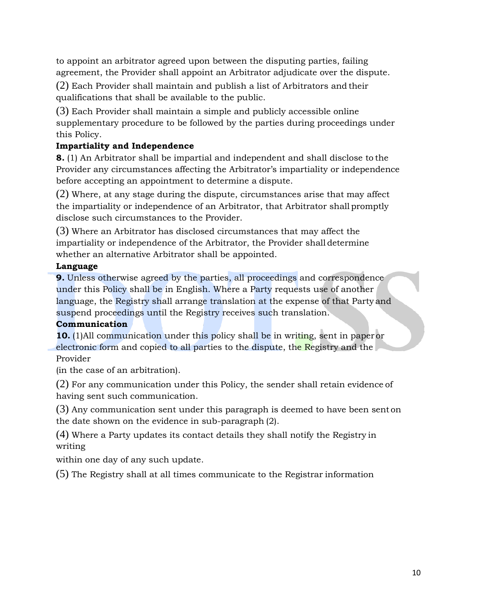to appoint an arbitrator agreed upon between the disputing parties, failing agreement, the Provider shall appoint an Arbitrator adjudicate over the dispute.

(2) Each Provider shall maintain and publish a list of Arbitrators and their qualifications that shall be available to the public.

(3) Each Provider shall maintain a simple and publicly accessible online supplementary procedure to be followed by the parties during proceedings under this Policy.

# <span id="page-9-0"></span>**Impartiality and Independence**

**8.** (1) An Arbitrator shall be impartial and independent and shall disclose to the Provider any circumstances affecting the Arbitrator's impartiality or independence before accepting an appointment to determine a dispute.

(2) Where, at any stage during the dispute, circumstances arise that may affect the impartiality or independence of an Arbitrator, that Arbitrator shall promptly disclose such circumstances to the Provider.

(3) Where an Arbitrator has disclosed circumstances that may affect the impartiality or independence of the Arbitrator, the Provider shall determine whether an alternative Arbitrator shall be appointed.

# <span id="page-9-1"></span>**Language**

**9.** Unless otherwise agreed by the parties, all proceedings and correspondence under this Policy shall be in English. Where a Party requests use of another language, the Registry shall arrange translation at the expense of that Party and suspend proceedings until the Registry receives such translation.

#### **Communication**

**10.** (1)All communication under this policy shall be in writing, sent in paperor electronic form and copied to all parties to the dispute, the Registry and the Provider

(in the case of an arbitration).

(2) For any communication under this Policy, the sender shall retain evidence of having sent such communication.

(3) Any communication sent under this paragraph is deemed to have been sent on the date shown on the evidence in sub-paragraph (2).

(4) Where a Party updates its contact details they shall notify the Registry in writing

within one day of any such update.

(5) The Registry shall at all times communicate to the Registrar information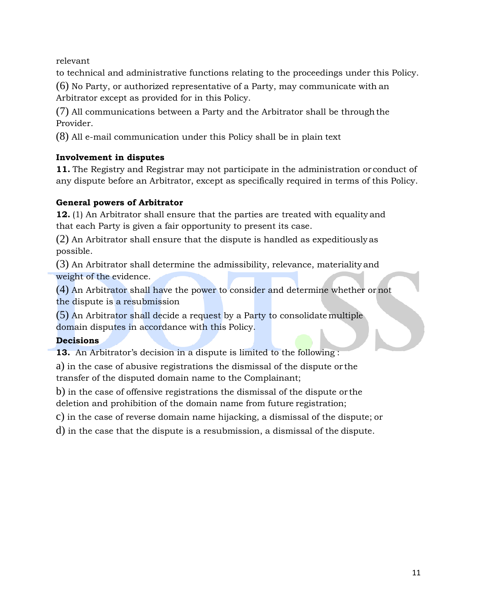relevant

to technical and administrative functions relating to the proceedings under this Policy.

(6) No Party, or authorized representative of a Party, may communicate with an Arbitrator except as provided for in this Policy.

(7) All communications between a Party and the Arbitrator shall be through the Provider.

(8) All e-mail communication under this Policy shall be in plain text

# <span id="page-10-0"></span>**Involvement in disputes**

**11.** The Registry and Registrar may not participate in the administration or conduct of any dispute before an Arbitrator, except as specifically required in terms of this Policy.

#### <span id="page-10-1"></span>**General powers of Arbitrator**

**12.** (1) An Arbitrator shall ensure that the parties are treated with equality and that each Party is given a fair opportunity to present its case.

(2) An Arbitrator shall ensure that the dispute is handled as expeditiously as possible.

(3) An Arbitrator shall determine the admissibility, relevance, materiality and weight of the evidence.

(4) An Arbitrator shall have the power to consider and determine whether ornot the dispute is a resubmission

(5) An Arbitrator shall decide a request by a Party to consolidate multiple domain disputes in accordance with this Policy.

# <span id="page-10-2"></span>**Decisions**

**13.** An Arbitrator's decision in a dispute is limited to the following :

a) in the case of abusive registrations the dismissal of the dispute or the transfer of the disputed domain name to the Complainant;

b) in the case of offensive registrations the dismissal of the dispute or the deletion and prohibition of the domain name from future registration;

c) in the case of reverse domain name hijacking, a dismissal of the dispute; or

d) in the case that the dispute is a resubmission, a dismissal of the dispute.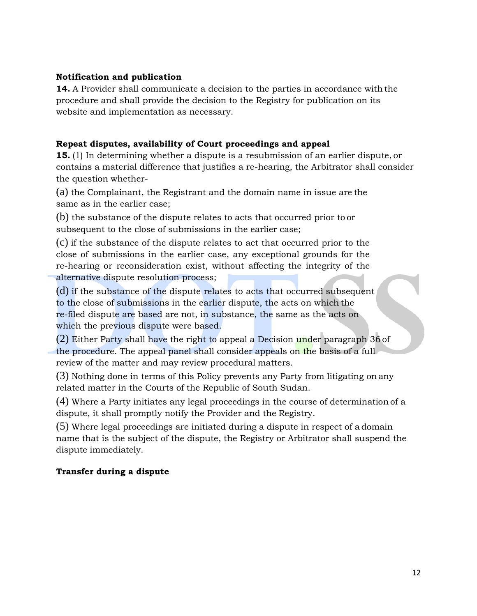#### <span id="page-11-0"></span>**Notification and publication**

**14.** A Provider shall communicate a decision to the parties in accordance with the procedure and shall provide the decision to the Registry for publication on its website and implementation as necessary.

#### <span id="page-11-1"></span>**Repeat disputes, availability of Court proceedings and appeal**

**15.** (1) In determining whether a dispute is a resubmission of an earlier dispute, or contains a material difference that justifies a re-hearing, the Arbitrator shall consider the question whether-

(a) the Complainant, the Registrant and the domain name in issue are the same as in the earlier case;

(b) the substance of the dispute relates to acts that occurred prior to or subsequent to the close of submissions in the earlier case;

(c) if the substance of the dispute relates to act that occurred prior to the close of submissions in the earlier case, any exceptional grounds for the re-hearing or reconsideration exist, without affecting the integrity of the alternative dispute resolution process;

(d) if the substance of the dispute relates to acts that occurred subsequent to the close of submissions in the earlier dispute, the acts on which the re-filed dispute are based are not, in substance, the same as the acts on which the previous dispute were based.

(2) Either Party shall have the right to appeal a Decision under paragraph 36 of the procedure. The appeal panel shall consider appeals on the basis of a full review of the matter and may review procedural matters.

(3) Nothing done in terms of this Policy prevents any Party from litigating on any related matter in the Courts of the Republic of South Sudan.

(4) Where a Party initiates any legal proceedings in the course of determination of a dispute, it shall promptly notify the Provider and the Registry.

(5) Where legal proceedings are initiated during a dispute in respect of a domain name that is the subject of the dispute, the Registry or Arbitrator shall suspend the dispute immediately.

#### <span id="page-11-2"></span>**Transfer during a dispute**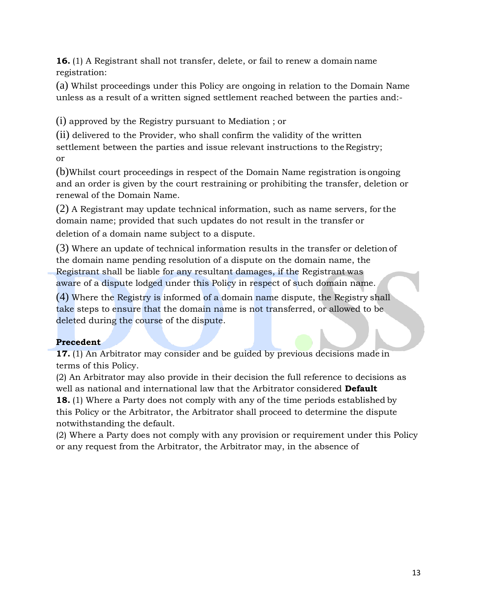**16.** (1) A Registrant shall not transfer, delete, or fail to renew a domain name registration:

(a) Whilst proceedings under this Policy are ongoing in relation to the Domain Name unless as a result of a written signed settlement reached between the parties and:-

(i) approved by the Registry pursuant to Mediation ; or

(ii) delivered to the Provider, who shall confirm the validity of the written settlement between the parties and issue relevant instructions to the Registry; or

(b)Whilst court proceedings in respect of the Domain Name registration is ongoing and an order is given by the court restraining or prohibiting the transfer, deletion or renewal of the Domain Name.

(2) A Registrant may update technical information, such as name servers, for the domain name; provided that such updates do not result in the transfer or deletion of a domain name subject to a dispute.

(3) Where an update of technical information results in the transfer or deletionof the domain name pending resolution of a dispute on the domain name, the Registrant shall be liable for any resultant damages, if the Registrant was aware of a dispute lodged under this Policy in respect of such domain name.

(4) Where the Registry is informed of a domain name dispute, the Registry shall take steps to ensure that the domain name is not transferred, or allowed to be deleted during the course of the dispute.

# <span id="page-12-0"></span>**Precedent**

**17.** (1) An Arbitrator may consider and be guided by previous decisions made in terms of this Policy.

(2) An Arbitrator may also provide in their decision the full reference to decisions as well as national and international law that the Arbitrator considered **Default**

**18.** (1) Where a Party does not comply with any of the time periods established by this Policy or the Arbitrator, the Arbitrator shall proceed to determine the dispute notwithstanding the default.

(2) Where a Party does not comply with any provision or requirement under this Policy or any request from the Arbitrator, the Arbitrator may, in the absence of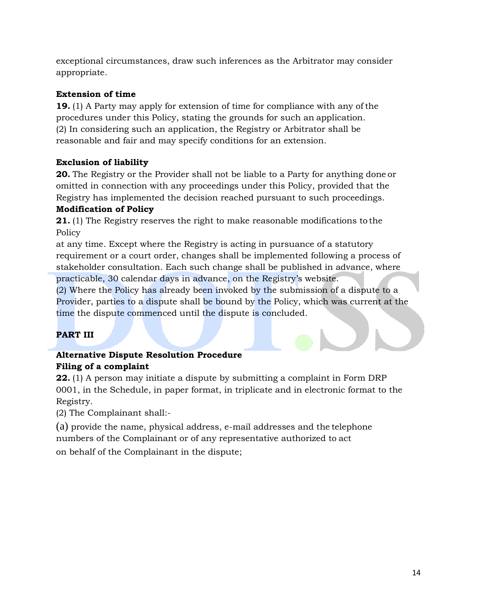exceptional circumstances, draw such inferences as the Arbitrator may consider appropriate.

# <span id="page-13-0"></span>**Extension of time**

**19.** (1) A Party may apply for extension of time for compliance with any of the procedures under this Policy, stating the grounds for such an application. (2) In considering such an application, the Registry or Arbitrator shall be reasonable and fair and may specify conditions for an extension.

# <span id="page-13-1"></span>**Exclusion of liability**

**20.** The Registry or the Provider shall not be liable to a Party for anything done or omitted in connection with any proceedings under this Policy, provided that the Registry has implemented the decision reached pursuant to such proceedings.

#### **Modification of Policy**

**21.** (1) The Registry reserves the right to make reasonable modifications to the Policy

at any time. Except where the Registry is acting in pursuance of a statutory requirement or a court order, changes shall be implemented following a process of stakeholder consultation. Each such change shall be published in advance, where practicable, 30 calendar days in advance, on the Registry's website.

(2) Where the Policy has already been invoked by the submission of a dispute to a Provider, parties to a dispute shall be bound by the Policy, which was current at the time the dispute commenced until the dispute is concluded.

# <span id="page-13-2"></span>**PART III**

# **Alternative Dispute Resolution Procedure Filing of a complaint**

**22.** (1) A person may initiate a dispute by submitting a complaint in Form DRP 0001, in the Schedule, in paper format, in triplicate and in electronic format to the Registry.

(2) The Complainant shall:-

(a) provide the name, physical address, e-mail addresses and the telephone numbers of the Complainant or of any representative authorized to act on behalf of the Complainant in the dispute;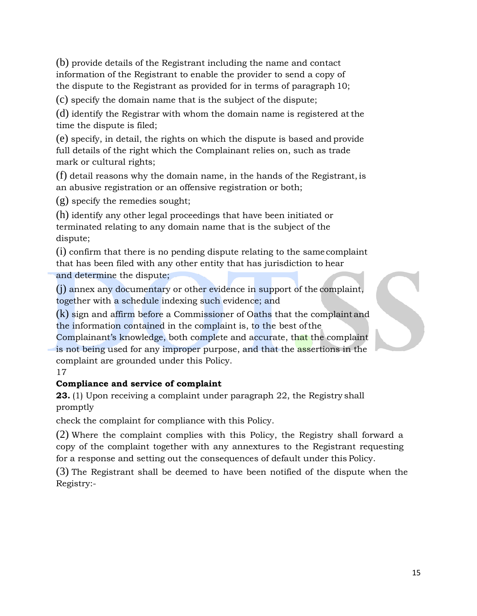(b) provide details of the Registrant including the name and contact information of the Registrant to enable the provider to send a copy of the dispute to the Registrant as provided for in terms of paragraph 10;

(c) specify the domain name that is the subject of the dispute;

(d) identify the Registrar with whom the domain name is registered at the time the dispute is filed;

(e) specify, in detail, the rights on which the dispute is based and provide full details of the right which the Complainant relies on, such as trade mark or cultural rights;

(f) detail reasons why the domain name, in the hands of the Registrant, is an abusive registration or an offensive registration or both;

(g) specify the remedies sought;

(h) identify any other legal proceedings that have been initiated or terminated relating to any domain name that is the subject of the dispute;

(i) confirm that there is no pending dispute relating to the same complaint that has been filed with any other entity that has jurisdiction to hear and determine the dispute;

(j) annex any documentary or other evidence in support of the complaint, together with a schedule indexing such evidence; and

(k) sign and affirm before a Commissioner of Oaths that the complaint and the information contained in the complaint is, to the best ofthe

Complainant's knowledge, both complete and accurate, that the complaint is not being used for any improper purpose, and that the assertions in the complaint are grounded under this Policy.

17

#### **Compliance and service of complaint**

**23.** (1) Upon receiving a complaint under paragraph 22, the Registry shall promptly

check the complaint for compliance with this Policy.

(2) Where the complaint complies with this Policy, the Registry shall forward a copy of the complaint together with any annextures to the Registrant requesting for a response and setting out the consequences of default under this Policy.

(3) The Registrant shall be deemed to have been notified of the dispute when the Registry:-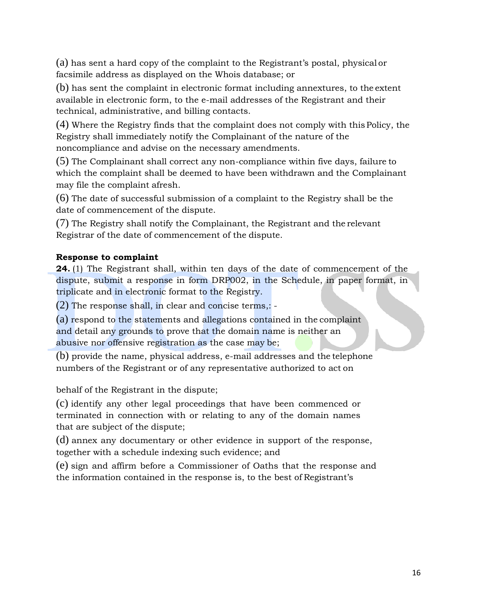(a) has sent a hard copy of the complaint to the Registrant's postal, physical or facsimile address as displayed on the Whois database; or

(b) has sent the complaint in electronic format including annextures, to the extent available in electronic form, to the e-mail addresses of the Registrant and their technical, administrative, and billing contacts.

(4) Where the Registry finds that the complaint does not comply with thisPolicy, the Registry shall immediately notify the Complainant of the nature of the noncompliance and advise on the necessary amendments.

(5) The Complainant shall correct any non-compliance within five days, failure to which the complaint shall be deemed to have been withdrawn and the Complainant may file the complaint afresh.

(6) The date of successful submission of a complaint to the Registry shall be the date of commencement of the dispute.

(7) The Registry shall notify the Complainant, the Registrant and the relevant Registrar of the date of commencement of the dispute.

#### <span id="page-15-0"></span>**Response to complaint**

**24.** (1) The Registrant shall, within ten days of the date of commencement of the dispute, submit a response in form DRP002, in the Schedule, in paper format, in triplicate and in electronic format to the Registry.

(2) The response shall, in clear and concise terms,: -

(a) respond to the statements and allegations contained in the complaint and detail any grounds to prove that the domain name is neither an abusive nor offensive registration as the case may be;

(b) provide the name, physical address, e-mail addresses and the telephone numbers of the Registrant or of any representative authorized to act on

behalf of the Registrant in the dispute;

(c) identify any other legal proceedings that have been commenced or terminated in connection with or relating to any of the domain names that are subject of the dispute;

(d) annex any documentary or other evidence in support of the response, together with a schedule indexing such evidence; and

(e) sign and affirm before a Commissioner of Oaths that the response and the information contained in the response is, to the best of Registrant's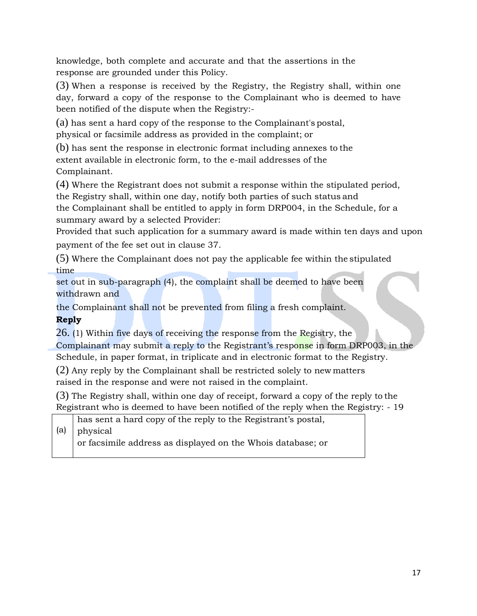knowledge, both complete and accurate and that the assertions in the response are grounded under this Policy.

(3) When a response is received by the Registry, the Registry shall, within one day, forward a copy of the response to the Complainant who is deemed to have been notified of the dispute when the Registry:-

(a) has sent a hard copy of the response to the Complainant's postal, physical or facsimile address as provided in the complaint; or

(b) has sent the response in electronic format including annexes to the extent available in electronic form, to the e-mail addresses of the Complainant.

(4) Where the Registrant does not submit a response within the stipulated period, the Registry shall, within one day, notify both parties of such status and

the Complainant shall be entitled to apply in form DRP004, in the Schedule, for a summary award by a selected Provider:

Provided that such application for a summary award is made within ten days and upon payment of the fee set out in clause 37.

(5) Where the Complainant does not pay the applicable fee within the stipulated time

set out in sub-paragraph (4), the complaint shall be deemed to have been withdrawn and

the Complainant shall not be prevented from filing a fresh complaint.

<span id="page-16-0"></span>**Reply**

26. (1) Within five days of receiving the response from the Registry, the

Complainant may submit a reply to the Registrant's response in form DRP003, in the

Schedule, in paper format, in triplicate and in electronic format to the Registry.

(2) Any reply by the Complainant shall be restricted solely to new matters raised in the response and were not raised in the complaint.

(3) The Registry shall, within one day of receipt, forward a copy of the reply to the Registrant who is deemed to have been notified of the reply when the Registry: - 19

(a) has sent a hard copy of the reply to the Registrant's postal, physical

or facsimile address as displayed on the Whois database; or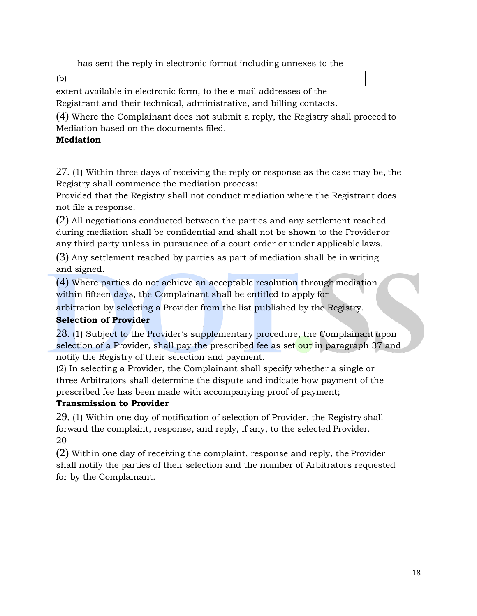|     | has sent the reply in electronic format including annexes to the |
|-----|------------------------------------------------------------------|
| (b) |                                                                  |

extent available in electronic form, to the e-mail addresses of the Registrant and their technical, administrative, and billing contacts.

(4) Where the Complainant does not submit a reply, the Registry shall proceed to Mediation based on the documents filed.

#### <span id="page-17-0"></span>**Mediation**

27. (1) Within three days of receiving the reply or response as the case may be, the Registry shall commence the mediation process:

Provided that the Registry shall not conduct mediation where the Registrant does not file a response.

(2) All negotiations conducted between the parties and any settlement reached during mediation shall be confidential and shall not be shown to the Provideror any third party unless in pursuance of a court order or under applicable laws.

(3) Any settlement reached by parties as part of mediation shall be in writing and signed.

(4) Where parties do not achieve an acceptable resolution through mediation within fifteen days, the Complainant shall be entitled to apply for

arbitration by selecting a Provider from the list published by the Registry.

# **Selection of Provider**

28. (1) Subject to the Provider's supplementary procedure, the Complainantupon selection of a Provider, shall pay the prescribed fee as set out in paragraph 37 and notify the Registry of their selection and payment.

(2) In selecting a Provider, the Complainant shall specify whether a single or three Arbitrators shall determine the dispute and indicate how payment of the prescribed fee has been made with accompanying proof of payment;

#### **Transmission to Provider**

29. (1) Within one day of notification of selection of Provider, the Registry shall forward the complaint, response, and reply, if any, to the selected Provider. 20

(2) Within one day of receiving the complaint, response and reply, the Provider shall notify the parties of their selection and the number of Arbitrators requested for by the Complainant.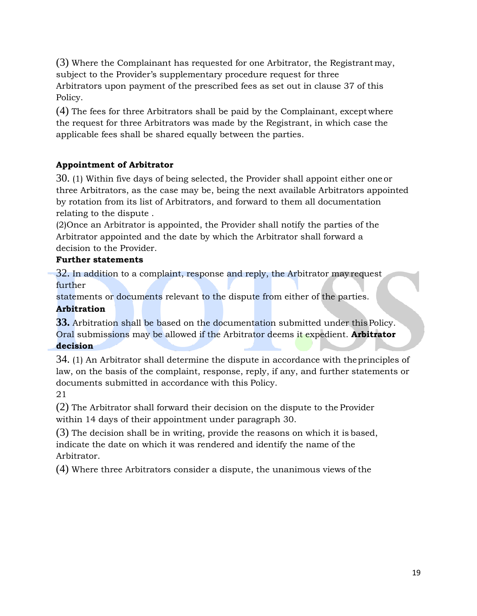(3) Where the Complainant has requested for one Arbitrator, the Registrantmay, subject to the Provider's supplementary procedure request for three Arbitrators upon payment of the prescribed fees as set out in clause 37 of this Policy.

(4) The fees for three Arbitrators shall be paid by the Complainant, exceptwhere the request for three Arbitrators was made by the Registrant, in which case the applicable fees shall be shared equally between the parties.

# <span id="page-18-0"></span>**Appointment of Arbitrator**

30. (1) Within five days of being selected, the Provider shall appoint either one or three Arbitrators, as the case may be, being the next available Arbitrators appointed by rotation from its list of Arbitrators, and forward to them all documentation relating to the dispute .

(2)Once an Arbitrator is appointed, the Provider shall notify the parties of the Arbitrator appointed and the date by which the Arbitrator shall forward a decision to the Provider.

# <span id="page-18-1"></span>**Further statements**

32. In addition to a complaint, response and reply, the Arbitrator may request further

statements or documents relevant to the dispute from either of the parties. **Arbitration**

# <span id="page-18-2"></span>**33.** Arbitration shall be based on the documentation submitted under thisPolicy. Oral submissions may be allowed if the Arbitrator deems it expedient. **Arbitrator**

#### **decision**

34. (1) An Arbitrator shall determine the dispute in accordance with theprinciples of law, on the basis of the complaint, response, reply, if any, and further statements or documents submitted in accordance with this Policy.

# 21

(2) The Arbitrator shall forward their decision on the dispute to the Provider within 14 days of their appointment under paragraph 30.

(3) The decision shall be in writing, provide the reasons on which it is based, indicate the date on which it was rendered and identify the name of the Arbitrator.

(4) Where three Arbitrators consider a dispute, the unanimous views of the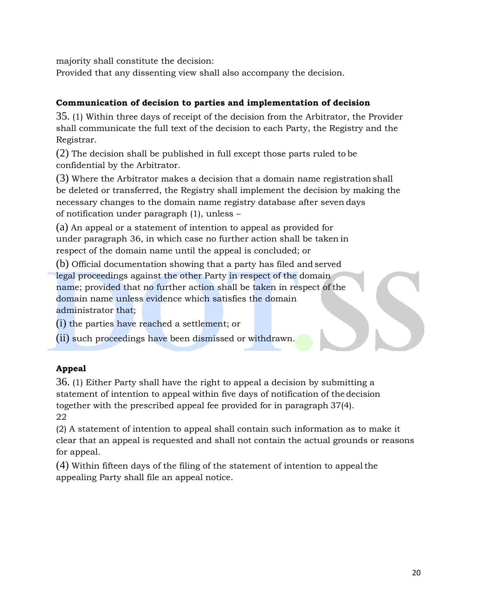majority shall constitute the decision:

Provided that any dissenting view shall also accompany the decision.

#### <span id="page-19-0"></span>**Communication of decision to parties and implementation of decision**

35. (1) Within three days of receipt of the decision from the Arbitrator, the Provider shall communicate the full text of the decision to each Party, the Registry and the Registrar.

(2) The decision shall be published in full except those parts ruled to be confidential by the Arbitrator.

(3) Where the Arbitrator makes a decision that a domain name registrationshall be deleted or transferred, the Registry shall implement the decision by making the necessary changes to the domain name registry database after seven days of notification under paragraph (1), unless –

(a) An appeal or a statement of intention to appeal as provided for under paragraph 36, in which case no further action shall be taken in respect of the domain name until the appeal is concluded; or

(b) Official documentation showing that a party has filed and served legal proceedings against the other Party in respect of the domain name; provided that no further action shall be taken in respect of the domain name unless evidence which satisfies the domain administrator that;

(i) the parties have reached a settlement; or

(ii) such proceedings have been dismissed or withdrawn.

# <span id="page-19-1"></span>**Appeal**

36. (1) Either Party shall have the right to appeal a decision by submitting a statement of intention to appeal within five days of notification of the decision together with the prescribed appeal fee provided for in paragraph 37(4). 22

(2) A statement of intention to appeal shall contain such information as to make it clear that an appeal is requested and shall not contain the actual grounds or reasons for appeal.

(4) Within fifteen days of the filing of the statement of intention to appealthe appealing Party shall file an appeal notice.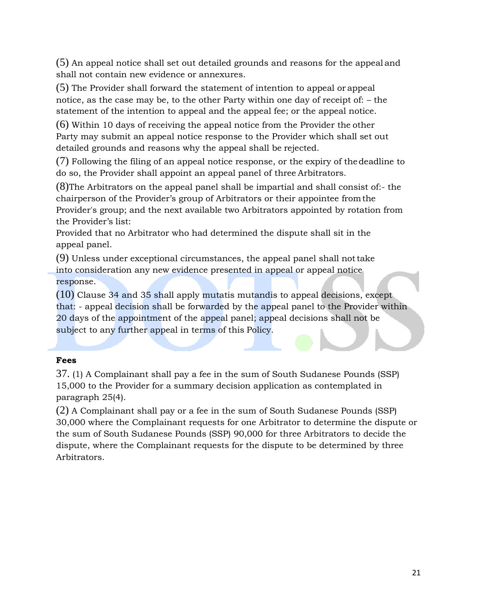(5) An appeal notice shall set out detailed grounds and reasons for the appeal and shall not contain new evidence or annexures.

(5) The Provider shall forward the statement of intention to appeal or appeal notice, as the case may be, to the other Party within one day of receipt of: – the statement of the intention to appeal and the appeal fee; or the appeal notice.

(6) Within 10 days of receiving the appeal notice from the Provider the other Party may submit an appeal notice response to the Provider which shall set out detailed grounds and reasons why the appeal shall be rejected.

(7) Following the filing of an appeal notice response, or the expiry of thedeadline to do so, the Provider shall appoint an appeal panel of three Arbitrators.

(8)The Arbitrators on the appeal panel shall be impartial and shall consist of:- the chairperson of the Provider's group of Arbitrators or their appointee fromthe Provider's group; and the next available two Arbitrators appointed by rotation from the Provider's list:

Provided that no Arbitrator who had determined the dispute shall sit in the appeal panel.

(9) Unless under exceptional circumstances, the appeal panel shall nottake into consideration any new evidence presented in appeal or appeal notice response.

(10) Clause 34 and 35 shall apply mutatis mutandis to appeal decisions, except that: - appeal decision shall be forwarded by the appeal panel to the Provider within 20 days of the appointment of the appeal panel; appeal decisions shall not be subject to any further appeal in terms of this Policy.

#### <span id="page-20-0"></span>**Fees**

37. (1) A Complainant shall pay a fee in the sum of South Sudanese Pounds (SSP) 15,000 to the Provider for a summary decision application as contemplated in paragraph 25(4).

(2) A Complainant shall pay or a fee in the sum of South Sudanese Pounds (SSP) 30,000 where the Complainant requests for one Arbitrator to determine the dispute or the sum of South Sudanese Pounds (SSP) 90,000 for three Arbitrators to decide the dispute, where the Complainant requests for the dispute to be determined by three Arbitrators.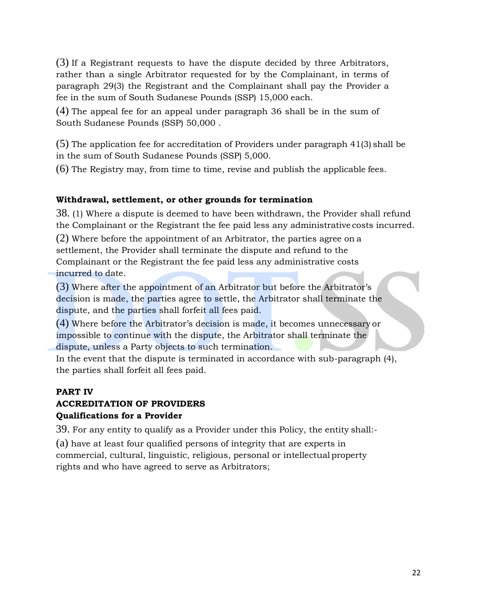(3) If a Registrant requests to have the dispute decided by three Arbitrators, rather than a single Arbitrator requested for by the Complainant, in terms of paragraph 29(3) the Registrant and the Complainant shall pay the Provider a fee in the sum of South Sudanese Pounds (SSP) 15,000 each.

(4) The appeal fee for an appeal under paragraph 36 shall be in the sum of South Sudanese Pounds (SSP) 50,000 .

(5) The application fee for accreditation of Providers under paragraph 41(3) shall be in the sum of South Sudanese Pounds (SSP) 5,000.

(6) The Registry may, from time to time, revise and publish the applicable fees.

#### <span id="page-21-0"></span>**Withdrawal, settlement, or other grounds for termination**

38. (1) Where a dispute is deemed to have been withdrawn, the Provider shall refund the Complainant or the Registrant the fee paid less any administrative costs incurred.

(2) Where before the appointment of an Arbitrator, the parties agree on a settlement, the Provider shall terminate the dispute and refund to the Complainant or the Registrant the fee paid less any administrative costs incurred to date.

(3) Where after the appointment of an Arbitrator but before the Arbitrator's decision is made, the parties agree to settle, the Arbitrator shall terminate the dispute, and the parties shall forfeit all fees paid.

(4) Where before the Arbitrator's decision is made, it becomes unnecessary or impossible to continue with the dispute, the Arbitrator shall terminate the dispute, unless a Party objects to such termination.

In the event that the dispute is terminated in accordance with sub-paragraph (4), the parties shall forfeit all fees paid.

#### <span id="page-21-1"></span>**PART IV**

#### <span id="page-21-2"></span>**ACCREDITATION OF PROVIDERS**

#### <span id="page-21-3"></span>**Qualifications for a Provider**

39. For any entity to qualify as a Provider under this Policy, the entity shall:-

(a) have at least four qualified persons of integrity that are experts in commercial, cultural, linguistic, religious, personal or intellectual property rights and who have agreed to serve as Arbitrators;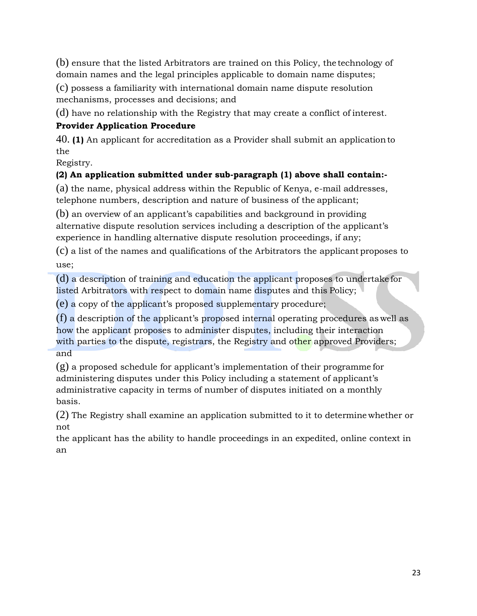(b) ensure that the listed Arbitrators are trained on this Policy, the technology of domain names and the legal principles applicable to domain name disputes;

(c) possess a familiarity with international domain name dispute resolution mechanisms, processes and decisions; and

(d) have no relationship with the Registry that may create a conflict of interest.

# **Provider Application Procedure**

40. **(1)** An applicant for accreditation as a Provider shall submit an applicationto the

Registry.

# **(2) An application submitted under sub-paragraph (1) above shall contain:-**

(a) the name, physical address within the Republic of Kenya, e-mail addresses, telephone numbers, description and nature of business of the applicant;

(b) an overview of an applicant's capabilities and background in providing alternative dispute resolution services including a description of the applicant's experience in handling alternative dispute resolution proceedings, if any;

(c) a list of the names and qualifications of the Arbitrators the applicant proposes to use;

(d) a description of training and education the applicant proposes to undertake for listed Arbitrators with respect to domain name disputes and this Policy;

(e) a copy of the applicant's proposed supplementary procedure;

(f) a description of the applicant's proposed internal operating procedures as well as how the applicant proposes to administer disputes, including their interaction with parties to the dispute, registrars, the Registry and other approved Providers; and

(g) a proposed schedule for applicant's implementation of their programme for administering disputes under this Policy including a statement of applicant's administrative capacity in terms of number of disputes initiated on a monthly basis.

(2) The Registry shall examine an application submitted to it to determine whether or not

the applicant has the ability to handle proceedings in an expedited, online context in an